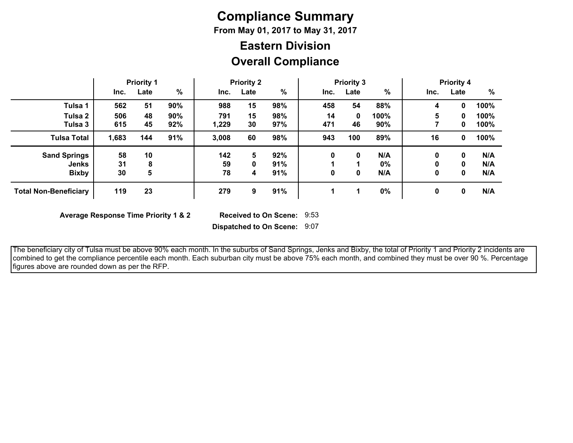# **Compliance Summary**

**From May 01, 2017 to May 31, 2017**

## **Overall Compliance Eastern Division**

|                              |       | <b>Priority 1</b> |               |       | <b>Priority 2</b> |     |      | <b>Priority 3</b> |       |      | <b>Priority 4</b> |      |
|------------------------------|-------|-------------------|---------------|-------|-------------------|-----|------|-------------------|-------|------|-------------------|------|
|                              | Inc.  | Late              | $\frac{0}{0}$ | Inc.  | Late              | %   | Inc. | Late              | %     | Inc. | Late              | $\%$ |
| Tulsa 1                      | 562   | 51                | 90%           | 988   | 15                | 98% | 458  | 54                | 88%   | 4    | 0                 | 100% |
| Tulsa 2                      | 506   | 48                | 90%           | 791   | 15                | 98% | 14   | 0                 | 100%  | 5    | 0                 | 100% |
| Tulsa 3                      | 615   | 45                | 92%           | 1,229 | 30                | 97% | 471  | 46                | 90%   |      | 0                 | 100% |
| <b>Tulsa Total</b>           | 1,683 | 144               | 91%           | 3,008 | 60                | 98% | 943  | 100               | 89%   | 16   | 0                 | 100% |
| <b>Sand Springs</b>          | 58    | 10                |               | 142   | 5                 | 92% | 0    | 0                 | N/A   | 0    | 0                 | N/A  |
| <b>Jenks</b>                 | 31    | 8                 |               | 59    | 0                 | 91% |      |                   | $0\%$ | 0    | 0                 | N/A  |
| <b>Bixby</b>                 | 30    | 5                 |               | 78    | 4                 | 91% | 0    | 0                 | N/A   | 0    | 0                 | N/A  |
| <b>Total Non-Beneficiary</b> | 119   | 23                |               | 279   | 9                 | 91% |      | л                 | 0%    | 0    | 0                 | N/A  |

**Average Response Time Priority 1 & 2** 

Received to On Scene: 9:53

**Dispatched to On Scene:** 9:07

 The beneficiary city of Tulsa must be above 90% each month. In the suburbs of Sand Springs, Jenks and Bixby, the total of Priority 1 and Priority 2 incidents are combined to get the compliance percentile each month. Each suburban city must be above 75% each month, and combined they must be over 90 %. Percentage figures above are rounded down as per the RFP.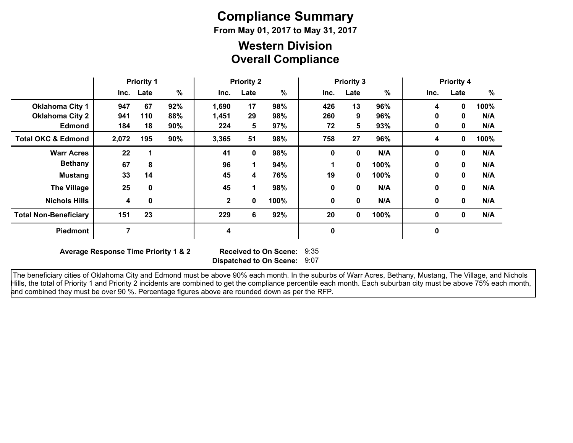# **Compliance Summary**

**From May 01, 2017 to May 31, 2017**

### **Overall Compliance Western Division**

|                               | <b>Priority 1</b> |           | <b>Priority 2</b> |              |      | <b>Priority 3</b> |      |             |      | <b>Priority 4</b> |              |      |
|-------------------------------|-------------------|-----------|-------------------|--------------|------|-------------------|------|-------------|------|-------------------|--------------|------|
|                               |                   | Inc. Late | $\%$              | Inc.         | Late | $\%$              | Inc. | Late        | $\%$ | Inc.              | Late         | %    |
| <b>Oklahoma City 1</b>        | 947               | 67        | 92%               | 1,690        | 17   | 98%               | 426  | 13          | 96%  | 4                 | 0            | 100% |
| <b>Oklahoma City 2</b>        | 941               | 110       | 88%               | 1,451        | 29   | 98%               | 260  | 9           | 96%  | 0                 | 0            | N/A  |
| <b>Edmond</b>                 | 184               | 18        | 90%               | 224          | 5    | 97%               | 72   | 5           | 93%  | 0                 | 0            | N/A  |
| <b>Total OKC &amp; Edmond</b> | 2,072             | 195       | 90%               | 3,365        | 51   | 98%               | 758  | 27          | 96%  | 4                 | 0            | 100% |
| <b>Warr Acres</b>             | 22                |           |                   | 41           | 0    | 98%               | 0    | 0           | N/A  | 0                 | 0            | N/A  |
| <b>Bethany</b>                | 67                | 8         |                   | 96           | 1    | 94%               |      | 0           | 100% | $\mathbf{0}$      | $\bf{0}$     | N/A  |
| <b>Mustang</b>                | 33                | 14        |                   | 45           | 4    | 76%               | 19   | 0           | 100% | 0                 | $\mathbf{0}$ | N/A  |
| <b>The Village</b>            | 25                | $\bf{0}$  |                   | 45           | 1    | 98%               | 0    | 0           | N/A  | 0                 | $\mathbf{0}$ | N/A  |
| <b>Nichols Hills</b>          | 4                 | 0         |                   | $\mathbf{2}$ | 0    | 100%              | 0    | 0           | N/A  | 0                 | $\mathbf 0$  | N/A  |
| <b>Total Non-Beneficiary</b>  | 151               | 23        |                   | 229          | 6    | 92%               | 20   | $\mathbf 0$ | 100% | 0                 | $\mathbf 0$  | N/A  |
| <b>Piedmont</b>               | 7                 |           |                   | 4            |      |                   | 0    |             |      | 0                 |              |      |

**Average Response Time Priority 1 & 2** 

**Dispatched to On Scene:** 9:07 Received to On Scene: 9:35

 The beneficiary cities of Oklahoma City and Edmond must be above 90% each month. In the suburbs of Warr Acres, Bethany, Mustang, The Village, and Nichols Hills, the total of Priority 1 and Priority 2 incidents are combined to get the compliance percentile each month. Each suburban city must be above 75% each month, and combined they must be over 90 %. Percentage figures above are rounded down as per the RFP.